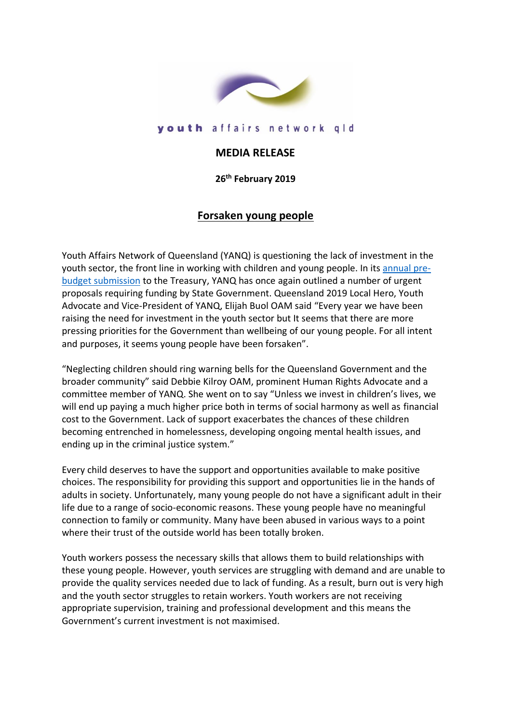

## youth affairs network gld

## **MEDIA RELEASE**

**26 th February 2019**

## **Forsaken young people**

Youth Affairs Network of Queensland (YANQ) is questioning the lack of investment in the youth sector, the front line in working with children and young people. In its [annual pre](http://www.yanq.org.au/policy-submissions/yanqs-pre-budget-submission-2019-2020)[budget submission](http://www.yanq.org.au/policy-submissions/yanqs-pre-budget-submission-2019-2020) to the Treasury, YANQ has once again outlined a number of urgent proposals requiring funding by State Government. Queensland 2019 Local Hero, Youth Advocate and Vice-President of YANQ, Elijah Buol OAM said "Every year we have been raising the need for investment in the youth sector but It seems that there are more pressing priorities for the Government than wellbeing of our young people. For all intent and purposes, it seems young people have been forsaken".

"Neglecting children should ring warning bells for the Queensland Government and the broader community" said Debbie Kilroy OAM, prominent Human Rights Advocate and a committee member of YANQ. She went on to say "Unless we invest in children's lives, we will end up paying a much higher price both in terms of social harmony as well as financial cost to the Government. Lack of support exacerbates the chances of these children becoming entrenched in homelessness, developing ongoing mental health issues, and ending up in the criminal justice system."

Every child deserves to have the support and opportunities available to make positive choices. The responsibility for providing this support and opportunities lie in the hands of adults in society. Unfortunately, many young people do not have a significant adult in their life due to a range of socio-economic reasons. These young people have no meaningful connection to family or community. Many have been abused in various ways to a point where their trust of the outside world has been totally broken.

Youth workers possess the necessary skills that allows them to build relationships with these young people. However, youth services are struggling with demand and are unable to provide the quality services needed due to lack of funding. As a result, burn out is very high and the youth sector struggles to retain workers. Youth workers are not receiving appropriate supervision, training and professional development and this means the Government's current investment is not maximised.